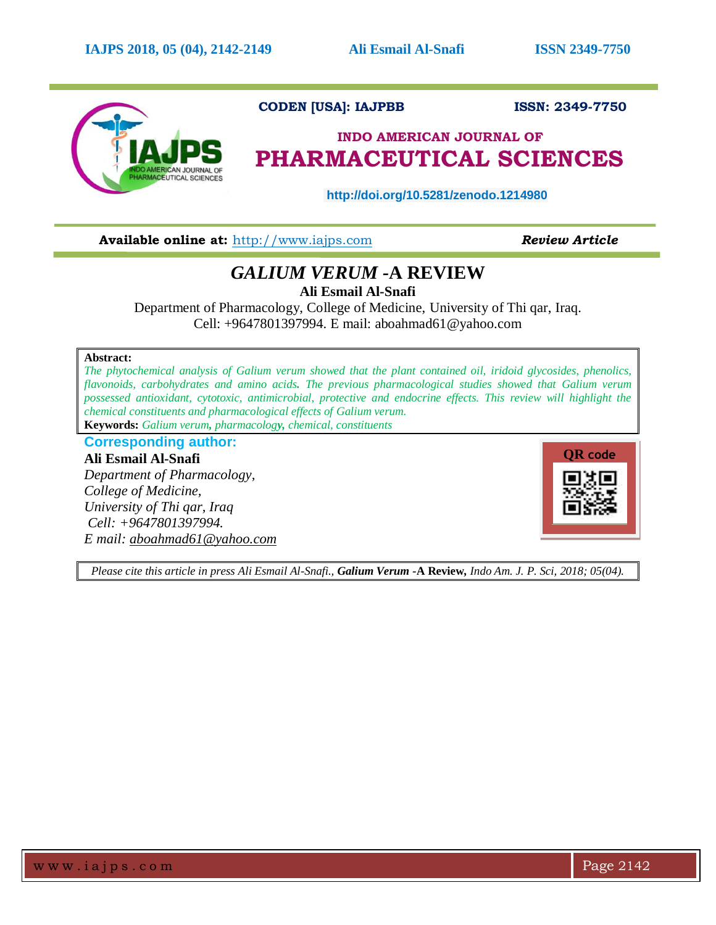

### **CODEN [USA]: IAJPBB ISSN: 2349-7750**

# **INDO AMERICAN JOURNAL OF PHARMACEUTICAL SCIENCES**

**http://doi.org/10.5281/zenodo.1214980** 

**Available online at:** [http://www.iajps.com](http://www.iajps.com/) *Review Article*

## *GALIUM VERUM -***A REVIEW**

**Ali Esmail Al-Snafi**

Department of Pharmacology, College of Medicine, University of Thi qar, Iraq. Cell: +9647801397994. E mail: [aboahmad61@yahoo.com](mailto:aboahmad61@yahoo.com)

#### **Abstract:**

*The phytochemical analysis of Galium verum showed that the plant contained oil, iridoid glycosides, phenolics, flavonoids, carbohydrates and amino acids. The previous pharmacological studies showed that Galium verum possessed antioxidant, cytotoxic, antimicrobial, protective and endocrine effects. This review will highlight the chemical constituents and pharmacological effects of Galium verum.* **Keywords:** *Galium verum, pharmacology, chemical, constituents*

**Corresponding author:**

**Ali Esmail Al-Snafi** *Department of Pharmacology, College of Medicine, University of Thi qar, Iraq Cell: +9647801397994. E mail: [aboahmad61@yahoo.com](mailto:aboahmad61@yahoo.com)*



*Please cite this article in press Ali Esmail Al-Snafi., Galium Verum -***A Review***, Indo Am. J. P. Sci, 2018; 05(04).*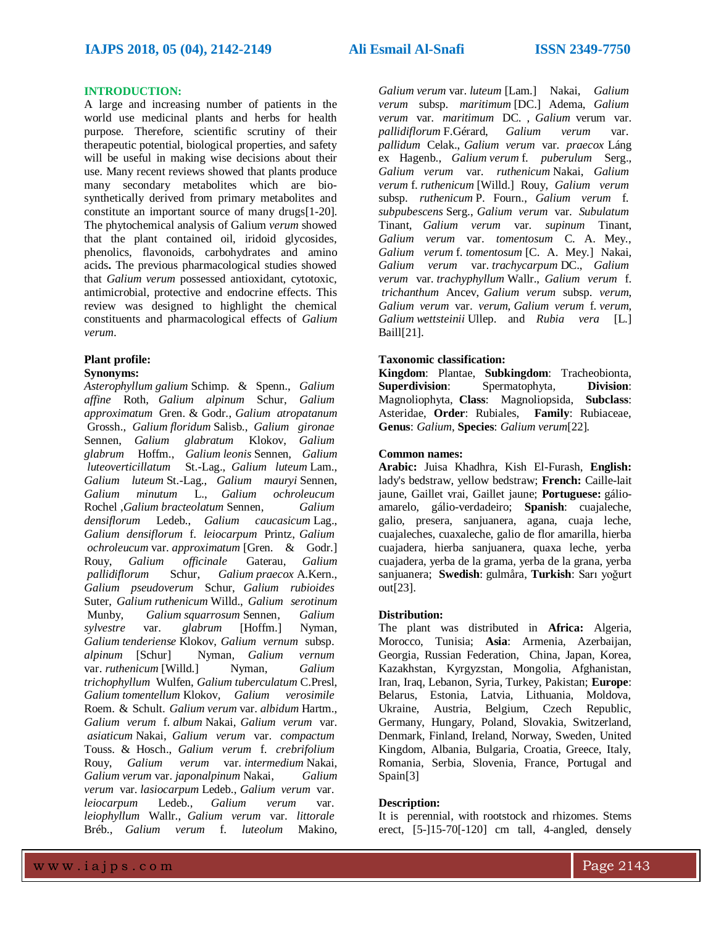#### **INTRODUCTION:**

A large and increasing number of patients in the world use medicinal plants and herbs for health purpose. Therefore, scientific scrutiny of their therapeutic potential, biological properties, and safety will be useful in making wise decisions about their use. Many recent reviews showed that plants produce many secondary metabolites which are biosynthetically derived from primary metabolites and constitute an important source of many drugs[1-20]. The phytochemical analysis of Galium *verum* showed that the plant contained oil, iridoid glycosides, phenolics, flavonoids, carbohydrates and amino acids**.** The previous pharmacological studies showed that *Galium verum* possessed antioxidant, cytotoxic, antimicrobial, protective and endocrine effects. This review was designed to highlight the chemical constituents and pharmacological effects of *Galium verum*.

#### **Plant profile:**

#### **Synonyms:**

*Asterophyllum galium* [Schimp. & Spenn.,](http://www.theplantlist.org/tpl1.1/record/kew-17456) *[Galium](http://www.theplantlist.org/tpl1.1/record/kew-85592) [affine](http://www.theplantlist.org/tpl1.1/record/kew-85592)* Roth, *Galium [alpinum](http://www.theplantlist.org/tpl1.1/record/kew-85622)* Schur, *[Galium](http://www.theplantlist.org/tpl1.1/record/kew-85706) approximatum* [Gren. & Godr.,](http://www.theplantlist.org/tpl1.1/record/kew-85706) *Galium [atropatanum](http://www.theplantlist.org/tpl1.1/record/kew-85765)* [Grossh.,](http://www.theplantlist.org/tpl1.1/record/kew-85765) *Galium [floridum](http://www.theplantlist.org/tpl1.1/record/kew-86340)* Salisb., *Galium [gironae](http://www.theplantlist.org/tpl1.1/record/kew-86392)* [Sennen,](http://www.theplantlist.org/tpl1.1/record/kew-86392) *Galium [glabratum](http://www.theplantlist.org/tpl1.1/record/kew-86394)* Klokov, *[Galium](http://www.theplantlist.org/tpl1.1/record/kew-86402) [glabrum](http://www.theplantlist.org/tpl1.1/record/kew-86402)* Hoffm., *Galium leonis* [Sennen,](http://www.theplantlist.org/tpl1.1/record/kew-86703) *[Galium](http://www.theplantlist.org/tpl1.1/record/kew-86746)  [luteoverticillatum](http://www.theplantlist.org/tpl1.1/record/kew-86746)* St.-Lag., *[Galium](http://www.theplantlist.org/tpl1.1/record/kew-86747) luteum* Lam., *Galium luteum* [St.-Lag.,](http://www.theplantlist.org/tpl1.1/record/kew-86749) *Galium mauryi* [Sennen,](http://www.theplantlist.org/tpl1.1/record/kew-86785) *Galium [minutum](http://www.theplantlist.org/tpl1.1/record/kew-86827)* L., *Galium [ochroleucum](http://www.theplantlist.org/tpl1.1/record/kew-87011)* [Rochel](http://www.theplantlist.org/tpl1.1/record/kew-87011) ,*Galium [bracteolatum](http://www.theplantlist.org/tpl1.1/record/kew-85891)* Sennen, *[Galium](http://www.theplantlist.org/tpl1.1/record/kew-86205) [densiflorum](http://www.theplantlist.org/tpl1.1/record/kew-86205)* Ledeb., *Galium [caucasicum](http://www.theplantlist.org/tpl1.1/record/kew-85993)* Lag., *Galium [densiflorum](http://www.theplantlist.org/tpl1.1/record/kew-345221)* f. *leiocarpum* Printz, *[Galium](http://www.theplantlist.org/tpl1.1/record/kew-87013) ochroleucum* var. *approximatum* [\[Gren. & Godr.\]](http://www.theplantlist.org/tpl1.1/record/kew-87013) [Rouy,](http://www.theplantlist.org/tpl1.1/record/kew-87013) *Galium [officinale](http://www.theplantlist.org/tpl1.1/record/kew-87031)* Gaterau, *[Galium](http://www.theplantlist.org/tpl1.1/record/kew-87069) [pallidiflorum](http://www.theplantlist.org/tpl1.1/record/kew-87069)* Schur, *Galium praecox* [A.Kern.,](http://www.theplantlist.org/tpl1.1/record/kew-87213) *Galium [pseudoverum](http://www.theplantlist.org/tpl1.1/record/kew-87262)* Schur, *Galium [rubioides](http://www.theplantlist.org/tpl1.1/record/kew-87376)* [Suter,](http://www.theplantlist.org/tpl1.1/record/kew-87376) *Galium [ruthenicum](http://www.theplantlist.org/tpl1.1/record/kew-87415)* Willd., *Galium [serotinum](http://www.theplantlist.org/tpl1.1/record/kew-87478)* [Munby,](http://www.theplantlist.org/tpl1.1/record/kew-87478) *Galium [squarrosum](http://www.theplantlist.org/tpl1.1/record/kew-87564)* Sennen, *[Galium](http://www.theplantlist.org/tpl1.1/record/kew-340209) sylvestre* var. *glabrum* [\[Hoffm.\]](http://www.theplantlist.org/tpl1.1/record/kew-340209) Nyman, *Galium [tenderiense](http://www.theplantlist.org/tpl1.1/record/kew-87658)* Klokov, *[Galium](http://www.theplantlist.org/tpl1.1/record/kew-341654) vernum* subsp. *alpinum* [\[Schur\] Nyman,](http://www.theplantlist.org/tpl1.1/record/kew-341654) *Galium [vernum](http://www.theplantlist.org/tpl1.1/record/kew-340225)* var. *[ruthenicum](http://www.theplantlist.org/tpl1.1/record/kew-340225)* [Willd.] Nyman, *[Galium](http://www.theplantlist.org/tpl1.1/record/kew-87737) [trichophyllum](http://www.theplantlist.org/tpl1.1/record/kew-87737)* Wulfen, *Galium [tuberculatum](http://www.theplantlist.org/tpl1.1/record/kew-87777)* C.Presl, *Galium [tomentellum](http://www.theplantlist.org/tpl1.1/record/kew-87712)* Klokov, *Galium [verosimile](http://www.theplantlist.org/tpl1.1/record/kew-87857)* [Roem. & Schult.](http://www.theplantlist.org/tpl1.1/record/kew-87857) *Galium verum* var. *[albidum](http://www.theplantlist.org/tpl1.1/record/kew-87864)* Hartm., *[Galium](http://www.theplantlist.org/tpl1.1/record/kew-87865) verum* f. *album* Nakai, *[Galium](http://www.theplantlist.org/tpl1.1/record/kew-87869) verum* var. *[asiaticum](http://www.theplantlist.org/tpl1.1/record/kew-87869)* Nakai, *Galium verum* var. *[compactum](http://www.theplantlist.org/tpl1.1/record/kew-87870)* [Touss. & Hosch.,](http://www.theplantlist.org/tpl1.1/record/kew-87870) *Galium verum* f. *[crebrifolium](http://www.theplantlist.org/tpl1.1/record/kew-86143)* [Rouy,](http://www.theplantlist.org/tpl1.1/record/kew-86143) *Galium verum* var. *[intermedium](http://www.theplantlist.org/tpl1.1/record/kew-87873)* Nakai, *Galium verum* var. *[japonalpinum](http://www.theplantlist.org/tpl1.1/record/kew-87874)* Nakai, *[Galium](http://www.theplantlist.org/tpl1.1/record/kew-87877) verum* var. *[lasiocarpum](http://www.theplantlist.org/tpl1.1/record/kew-87877)* Ledeb., *[Galium](http://www.theplantlist.org/tpl1.1/record/kew-87879) verum* var. *[leiocarpum](http://www.theplantlist.org/tpl1.1/record/kew-87879)* Ledeb., *[Galium](http://www.theplantlist.org/tpl1.1/record/kew-87880) verum* var. *[leiophyllum](http://www.theplantlist.org/tpl1.1/record/kew-87880)* Wallr., *Galium verum* var. *[littorale](http://www.theplantlist.org/tpl1.1/record/kew-87881)* [Bréb.,](http://www.theplantlist.org/tpl1.1/record/kew-87881) *Galium verum* f. *[luteolum](http://www.theplantlist.org/tpl1.1/record/kew-87882)* Makino,

*[Galium](http://www.theplantlist.org/tpl1.1/record/kew-87883) verum* var. *luteum* [Lam.] Nakai, *[Galium](http://www.theplantlist.org/tpl1.1/record/kew-87884) verum* subsp. *[maritimum](http://www.theplantlist.org/tpl1.1/record/kew-87884)* [DC.] Adema, *[Galium](http://www.theplantlist.org/tpl1.1/record/kew-87885) verum* var. *[maritimum](http://www.theplantlist.org/tpl1.1/record/kew-87885)* DC. , *[Galium](http://www.theplantlist.org/tpl1.1/record/kew-87888)* verum var. *[pallidiflorum](http://www.theplantlist.org/tpl1.1/record/kew-87888)* F.Gérard, *[Galium](http://www.theplantlist.org/tpl1.1/record/kew-87889) verum* var. *[pallidum](http://www.theplantlist.org/tpl1.1/record/kew-87889)* Celak., *Galium verum* var. *[praecox](http://www.theplantlist.org/tpl1.1/record/kew-87890)* Láng [ex Hagenb.,](http://www.theplantlist.org/tpl1.1/record/kew-87890) *Galium verum* f. *[puberulum](http://www.theplantlist.org/tpl1.1/record/kew-467171)* Serg., *Galium verum* var. *[ruthenicum](http://www.theplantlist.org/tpl1.1/record/kew-87894)* Nakai, *[Galium](http://www.theplantlist.org/tpl1.1/record/kew-87895) verum* f. *[ruthenicum](http://www.theplantlist.org/tpl1.1/record/kew-87895)* [Willd.] Rouy, *[Galium](http://www.theplantlist.org/tpl1.1/record/tro-27907744) verum* subsp. *[ruthenicum](http://www.theplantlist.org/tpl1.1/record/tro-27907744)* P. Fourn., *[Galium](http://www.theplantlist.org/tpl1.1/record/kew-274081) verum* f. *[subpubescens](http://www.theplantlist.org/tpl1.1/record/kew-274081)* Serg., *Galium verum* var. *[Subulatum](http://www.theplantlist.org/tpl1.1/record/kew-376736)* [Tinant,](http://www.theplantlist.org/tpl1.1/record/kew-376736) *Galium verum* var. *[supinum](http://www.theplantlist.org/tpl1.1/record/kew-376735)* Tinant, *Galium verum* var. *tomentosum* [C. A. Mey.,](http://www.theplantlist.org/tpl1.1/record/kew-87896) *Galium verum* f. *tomentosum* [\[C. A. Mey.\]](http://www.theplantlist.org/tpl1.1/record/kew-87897) Nakai, *Galium verum* var. *[trachycarpum](http://www.theplantlist.org/tpl1.1/record/kew-87898)* DC., *[Galium](http://www.theplantlist.org/tpl1.1/record/kew-87899) verum* var. *[trachyphyllum](http://www.theplantlist.org/tpl1.1/record/kew-87899)* Wallr., *[Galium](http://www.theplantlist.org/tpl1.1/record/kew-87900) verum* f. *[trichanthum](http://www.theplantlist.org/tpl1.1/record/kew-87900)* Ancev, *[Galium](http://www.theplantlist.org/tpl1.1/record/kew-87902) verum* subsp. *verum*, *[Galium](http://www.theplantlist.org/tpl1.1/record/tro-27900193) verum* var. *verum*, *[Galium](http://www.theplantlist.org/tpl1.1/record/tro-27905393) verum* f. *verum*, *Galium [wettsteinii](http://www.theplantlist.org/tpl1.1/record/kew-87934)* Ullep. and *[Rubia](http://www.theplantlist.org/tpl1.1/record/kew-180447) vera* [L.] [Baill\[21\].](http://www.theplantlist.org/tpl1.1/record/kew-180447)

#### **Taxonomic classification:**

**Kingdom**: Plantae, **Subkingdom**: Tracheobionta, **Superdivision**: Spermatophyta, **Division**: Magnoliophyta, **Class**: Magnoliopsida, **Subclass**: Asteridae, **Order**: Rubiales, **Family**: Rubiaceae, **Genus**: *Galium*, **Species**: *Galium verum*[22]*.*

#### **Common names:**

**Arabic:** Juisa Khadhra, Kish El-Furash, **English:**  lady's bedstraw, yellow bedstraw; **French:** Caille-lait jaune, Gaillet vrai, Gaillet jaune; **Portuguese:** gálioamarelo, gálio-verdadeiro; **Spanish**: cuajaleche, galio, presera, sanjuanera, agana, cuaja leche, cuajaleches, cuaxaleche, galio de flor amarilla, hierba cuajadera, hierba sanjuanera, quaxa leche, yerba cuajadera, yerba de la grama, yerba de la grana, yerba sanjuanera; **Swedish**: gulmåra, **Turkish**: Sarı yoğurt out[23].

#### **Distribution:**

The plant was distributed in **Africa:** Algeria, Morocco, Tunisia; **Asia**: Armenia, Azerbaijan, Georgia, Russian Federation, China, Japan, Korea, Kazakhstan, Kyrgyzstan, Mongolia, Afghanistan, Iran, Iraq, Lebanon, Syria, Turkey, Pakistan; **Europe**: Belarus, Estonia, Latvia, Lithuania, Moldova, Ukraine, Austria, Belgium, Czech Republic, Germany, Hungary, Poland, Slovakia, Switzerland, Denmark, Finland, Ireland, Norway, Sweden, United Kingdom, Albania, Bulgaria, Croatia, Greece, Italy, Romania, Serbia, Slovenia, France, Portugal and Spain[3]

#### **Description:**

It is perennial, with rootstock and rhizomes. Stems erect, [5-]15-70[-120] cm tall, 4-angled, densely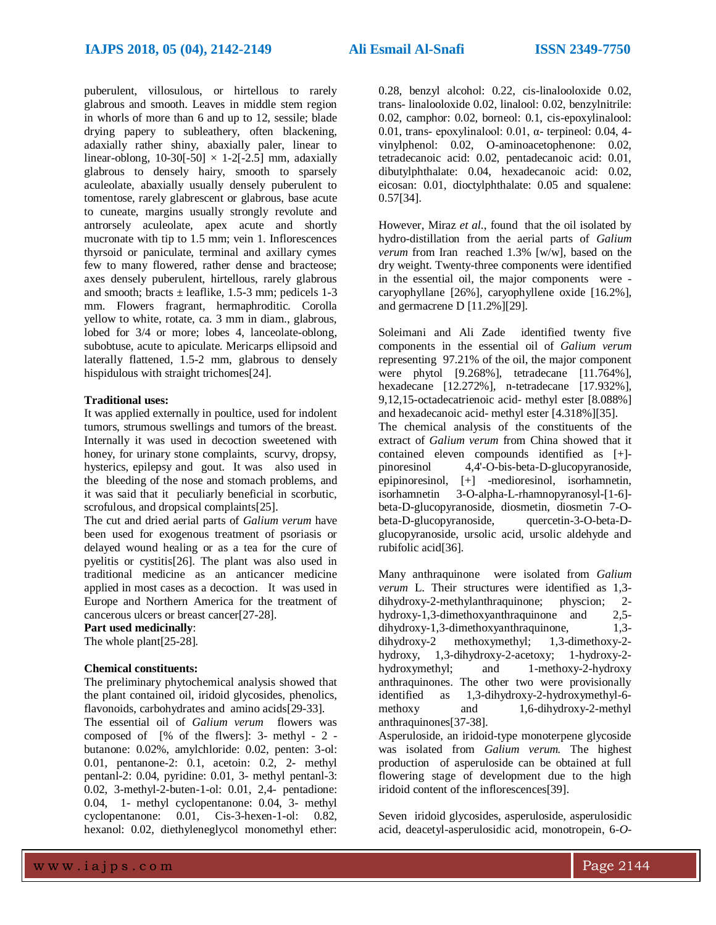puberulent, villosulous, or hirtellous to rarely glabrous and smooth. Leaves in middle stem region in whorls of more than 6 and up to 12, sessile; blade drying papery to subleathery, often blackening, adaxially rather shiny, abaxially paler, linear to linear-oblong,  $10-30[-50] \times 1-2[-2.5]$  mm, adaxially glabrous to densely hairy, smooth to sparsely aculeolate, abaxially usually densely puberulent to tomentose, rarely glabrescent or glabrous, base acute to cuneate, margins usually strongly revolute and antrorsely aculeolate, apex acute and shortly mucronate with tip to 1.5 mm; vein 1. Inflorescences thyrsoid or paniculate, terminal and axillary cymes few to many flowered, rather dense and bracteose; axes densely puberulent, hirtellous, rarely glabrous and smooth; bracts  $\pm$  leaflike, 1.5-3 mm; pedicels 1-3 mm. Flowers fragrant, hermaphroditic. Corolla yellow to white, rotate, ca. 3 mm in diam., glabrous, lobed for 3/4 or more; lobes 4, lanceolate-oblong, subobtuse, acute to apiculate. Mericarps ellipsoid and laterally flattened, 1.5-2 mm, glabrous to densely hispidulous with straight trichomes[24].

#### **Traditional uses:**

It was applied externally in poultice, used for indolent tumors, strumous swellings and tumors of the breast. Internally it was used in decoction sweetened with honey, for urinary stone complaints, scurvy, dropsy, hysterics, epilepsy and gout. It was also used in the bleeding of the nose and stomach problems, and it was said that it peculiarly beneficial in scorbutic, scrofulous, and dropsical complaints[25].

The cut and dried aerial parts of *Galium verum* have been used for exogenous treatment of psoriasis or delayed wound healing or as a tea for the cure of pyelitis or cystitis[26]. The plant was also used in traditional medicine as an anticancer medicine applied in most cases as a decoction. Itwas used in Europe and Northern America for the treatment of cancerous ulcers or breast cancer[27-28].

#### **Part used medicinally**:

The whole plant[25-28].

#### **Chemical constituents:**

The preliminary phytochemical analysis showed that the plant contained oil, iridoid glycosides, phenolics, flavonoids, carbohydrates and amino acids[29-33].

The essential oil of *Galium verum* flowers was composed of [% of the flwers]: 3- methyl - 2 butanone: 0.02%, amylchloride: 0.02, penten: 3-ol: 0.01, pentanone-2: 0.1, acetoin: 0.2, 2- methyl pentanl-2: 0.04, pyridine: 0.01, 3- methyl pentanl-3: 0.02, 3-methyl-2-buten-1-ol: 0.01, 2,4- pentadione: 0.04, 1- methyl cyclopentanone: 0.04, 3- methyl cyclopentanone: 0.01, Cis-3-hexen-1-ol: 0.82, hexanol: 0.02, diethyleneglycol monomethyl ether:

0.28, benzyl alcohol: 0.22, cis-linalooloxide 0.02, trans- linalooloxide 0.02, linalool: 0.02, benzylnitrile: 0.02, camphor: 0.02, borneol: 0.1, cis-epoxylinalool: 0.01, trans- epoxylinalool: 0.01, α- terpineol: 0.04, 4 vinylphenol: 0.02, O-aminoacetophenone: 0.02, tetradecanoic acid: 0.02, pentadecanoic acid: 0.01, dibutylphthalate: 0.04, hexadecanoic acid: 0.02, eicosan: 0.01, dioctylphthalate: 0.05 and squalene: 0.57[34].

However, Miraz *et al*., found that the oil isolated by hydro-distillation from the aerial parts of *Galium verum* from Iran reached 1.3% [w/w], based on the dry weight. Twenty-three components were identified in the essential oil, the major components were caryophyllane [26%], caryophyllene oxide [16.2%], and germacrene D [11.2%][29].

Soleimani and Ali Zade identified twenty five components in the essential oil of *Galium verum* representing 97.21% of the oil, the major component were phytol [9.268%], tetradecane [11.764%], hexadecane [12.272%], n-tetradecane [17.932%], 9,12,15-octadecatrienoic acid- methyl ester [8.088%] and hexadecanoic acid- methyl ester [4.318%][35]. The chemical analysis of the constituents of the extract of *Galium verum* from China showed that it contained eleven compounds identified as [+] pinoresinol 4,4'-O-bis-beta-D-glucopyranoside, epipinoresinol, [+] -medioresinol, isorhamnetin, isorhamnetin 3-O-alpha-L-rhamnopyranosyl-[1-6] beta-D-glucopyranoside, diosmetin, diosmetin 7-Obeta-D-glucopyranoside, quercetin-3-O-beta-Dglucopyranoside, ursolic acid, ursolic aldehyde and rubifolic acid[36].

Many anthraquinone were isolated from *Galium verum* L. Their structures were identified as 1,3 dihydroxy-2-methylanthraquinone; physcion; 2 hydroxy-1,3-dimethoxyanthraquinone and 2,5-<br>dihydroxy-1,3-dimethoxyanthraquinone, 1,3dihydroxy-1,3-dimethoxyanthraquinone, dihydroxy-2 methoxymethyl; 1,3-dimethoxy-2 hydroxy, 1,3-dihydroxy-2-acetoxy; 1-hydroxy-2 hydroxymethyl; and 1-methoxy-2-hydroxy anthraquinones. The other two were provisionally identified as 1,3-dihydroxy-2-hydroxymethyl-6 methoxy and 1,6-dihydroxy-2-methyl anthraquinones[37-38].

Asperuloside, an iridoid-type monoterpene glycoside was isolated from *Galium verum.* The highest production of asperuloside can be obtained at full flowering stage of development due to the high iridoid content of the inflorescences[39].

Seven iridoid glycosides, asperuloside, asperulosidic acid, deacetyl-asperulosidic acid, monotropein, 6-*O-*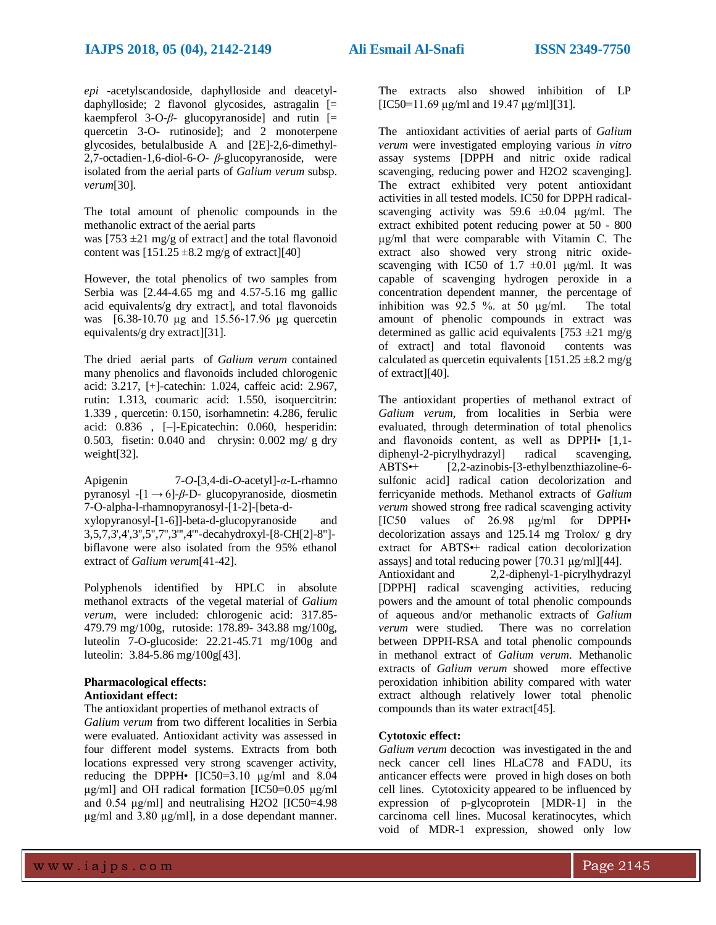*epi* -acetylscandoside, daphylloside and deacetyldaphylloside; 2 flavonol glycosides, astragalin  $\lceil$  = kaempferol 3-O- $\beta$ - glucopyranoside] and rutin  $\Box$ quercetin 3-O- rutinoside]; and 2 monoterpene glycosides, betulalbuside A and [2E]-2,6-dimethyl-2,7-octadien-1,6-diol-6-*O*- *β*-glucopyranoside, were isolated from the aerial parts of *Galium verum* subsp. *verum*[30].

The total amount of phenolic compounds in the methanolic extract of the aerial parts was  $[753 \pm 21 \text{ mg/g}$  of extract] and the total flavonoid content was  $[151.25 \pm 8.2 \text{ mg/g of extract}][40]$ 

However, the total phenolics of two samples from Serbia was [2.44-4.65 mg and 4.57-5.16 mg gallic acid equivalents/g dry extract], and total flavonoids was [6.38-10.70 μg and 15.56-17.96 μg quercetin equivalents/g dry extract][31].

The dried aerial parts of *Galium verum* contained many phenolics and flavonoids included chlorogenic acid: 3.217, [+]-catechin: 1.024, caffeic acid: 2.967, rutin: 1.313, coumaric acid: 1.550, isoquercitrin: 1.339 , quercetin: 0.150, isorhamnetin: 4.286, ferulic acid: 0.836 , [–]-Epicatechin: 0.060, hesperidin: 0.503, fisetin: 0.040 and chrysin: 0.002 mg/ g dry weight[32].

Apigenin 7-*O*-[3,4-di-*O*-acetyl]-*α*-L-rhamno pyranosyl -[1 → 6]-*β*-D- glucopyranoside, diosmetin 7-O-alpha-l-rhamnopyranosyl-[1-2]-[beta-d-

xylopyranosyl-[1-6]]-beta-d-glucopyranoside and 3,5,7,3',4',3'',5'',7'',3''',4'''-decahydroxyl-[8-CH[2]-8''] biflavone were also isolated from the 95% ethanol extract of *Galium verum*[41-42].

Polyphenols identified by HPLC in absolute methanol extracts of the vegetal material of *Galium verum*, were included: chlorogenic acid: 317.85- 479.79 mg/100g, rutoside: 178.89- 343.88 mg/100g, luteolin 7-O-glucoside: 22.21-45.71 mg/100g and luteolin: 3.84-5.86 mg/100g[43].

#### **Pharmacological effects: Antioxidant effect:**

The antioxidant properties of methanol extracts of *Galium verum* from two different localities in Serbia were evaluated. Antioxidant activity was assessed in four different model systems. Extracts from both locations expressed very strong scavenger activity, reducing the DPPH• [IC50=3.10 μg/ml and 8.04 μg/ml] and OH radical formation [IC50=0.05 μg/ml and 0.54 μg/ml] and neutralising H2O2 [IC50=4.98 μg/ml and 3.80 μg/ml], in a dose dependant manner.

The extracts also showed inhibition of LP  $[IC50=11.69 \mu g/ml$  and 19.47  $\mu g/ml$  $[31]$ .

The antioxidant activities of aerial parts of *Galium verum* were investigated employing various *in vitro* assay systems [DPPH and nitric oxide radical scavenging, reducing power and H2O2 scavenging]. The extract exhibited very potent antioxidant activities in all tested models. IC50 for DPPH radicalscavenging activity was  $59.6 \pm 0.04$  μg/ml. The extract exhibited potent reducing power at 50 - 800 μg/ml that were comparable with Vitamin C. The extract also showed very strong nitric oxidescavenging with IC50 of 1.7  $\pm 0.01$  μg/ml. It was capable of scavenging hydrogen peroxide in a concentration dependent manner, the percentage of inhibition was 92.5 %. at 50 μg/ml. The total amount of phenolic compounds in extract was determined as gallic acid equivalents  $[753 \pm 21 \text{ mg/g}]$ of extract] and total flavonoid contents was calculated as quercetin equivalents  $[151.25 \pm 8.2 \text{ mg/g}]$ of extract][40].

The antioxidant properties of methanol extract of *Galium verum*, from localities in Serbia were evaluated, through determination of total phenolics and flavonoids content, as well as DPPH• [1,1 diphenyl-2-picrylhydrazyl] radical scavenging, ABTS•+ [2,2-azinobis-[3-ethylbenzthiazoline-6 sulfonic acid] radical cation decolorization and ferricyanide methods. Methanol extracts of *Galium verum* showed strong free radical scavenging activity [IC50 values of 26.98 μg/ml for DPPH• decolorization assays and 125.14 mg Trolox/ g dry extract for ABTS•+ radical cation decolorization assays] and total reducing power [70.31 μg/ml][44]. Antioxidant and 2,2-diphenyl-1-picrylhydrazyl [DPPH] radical scavenging activities, reducing powers and the amount of total phenolic compounds of aqueous and/or methanolic extracts of *Galium verum* were studied. There was no correlation between DPPH-RSA and total phenolic compounds in methanol extract of *Galium verum*. Methanolic extracts of *Galium verum* showed more effective peroxidation inhibition ability compared with water extract although relatively lower total phenolic compounds than its water extract[45].

#### **Cytotoxic effect:**

*Galium verum* decoction was investigated in the and neck cancer cell lines HLaC78 and FADU, its anticancer effects were proved in high doses on both cell lines. Cytotoxicity appeared to be influenced by expression of p-glycoprotein [MDR-1] in the carcinoma cell lines. Mucosal keratinocytes, which void of MDR-1 expression, showed only low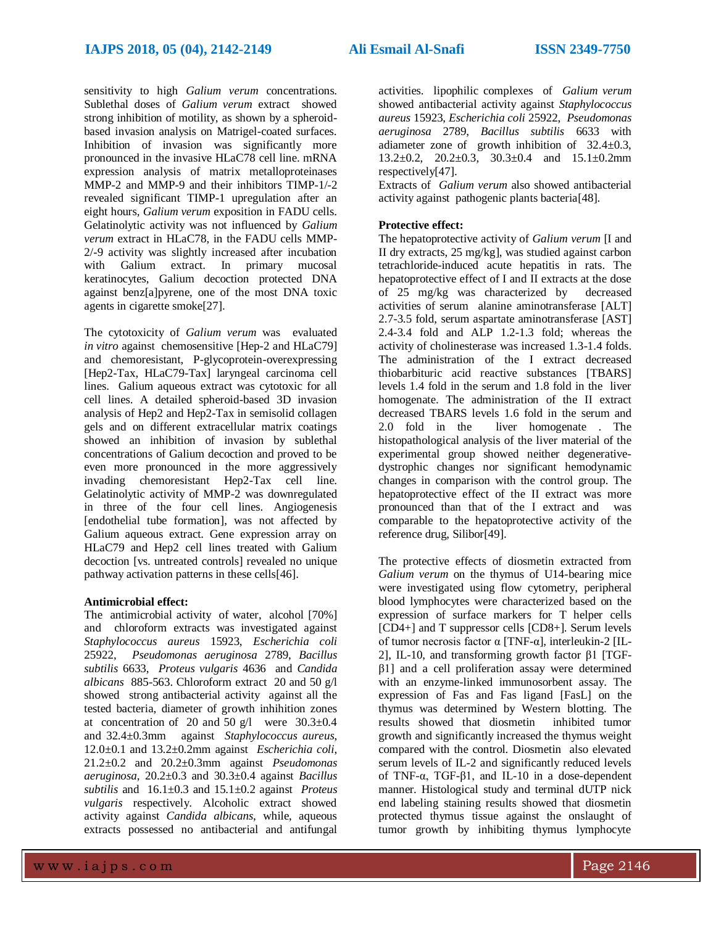sensitivity to high *Galium verum* concentrations. Sublethal doses of *Galium verum* extract showed strong inhibition of motility, as shown by a spheroidbased invasion analysis on Matrigel-coated surfaces. Inhibition of invasion was significantly more pronounced in the invasive HLaC78 cell line. mRNA expression analysis of matrix metalloproteinases MMP-2 and MMP-9 and their inhibitors TIMP-1/-2 revealed significant TIMP-1 upregulation after an eight hours, *Galium verum* exposition in FADU cells. Gelatinolytic activity was not influenced by *Galium verum* extract in HLaC78, in the FADU cells MMP-2/-9 activity was slightly increased after incubation with Galium extract. In primary mucosal keratinocytes, Galium decoction protected DNA against benz[a]pyrene, one of the most DNA toxic agents in cigarette smoke[27].

The cytotoxicity of *Galium verum* was evaluated *in vitro* against chemosensitive [Hep-2 and HLaC79] and chemoresistant, P-glycoprotein-overexpressing [Hep2-Tax, HLaC79-Tax] laryngeal carcinoma cell lines. Galium aqueous extract was cytotoxic for all cell lines. A detailed spheroid-based 3D invasion analysis of Hep2 and Hep2-Tax in semisolid collagen gels and on different extracellular matrix coatings showed an inhibition of invasion by sublethal concentrations of Galium decoction and proved to be even more pronounced in the more aggressively invading chemoresistant Hep2-Tax cell line. Gelatinolytic activity of MMP-2 was downregulated in three of the four cell lines. Angiogenesis [endothelial tube formation], was not affected by Galium aqueous extract. Gene expression array on HLaC79 and Hep2 cell lines treated with Galium decoction [vs. untreated controls] revealed no unique pathway activation patterns in these cells[46].

#### **Antimicrobial effect:**

The antimicrobial activity of water, alcohol [70%] and chloroform extracts was investigated against *Staphylococcus aureus* 15923, *Escherichia coli* 25922, *Pseudomonas aeruginosa* 2789, *Bacillus subtilis* 6633, *Proteus vulgaris* 4636 and *Candida albicans* 885-563. Chloroform extract 20 and 50 g/l showed strong antibacterial activity against all the tested bacteria, diameter of growth inhihition zones at concentration of 20 and 50 g/l were  $30.3 \pm 0.4$ and 32.4±0.3mm against *Staphylococcus aureus*, 12.0±0.1 and 13.2±0.2mm against *Escherichia coli*, 21.2±0.2 and 20.2±0.3mm against *Pseudomonas aeruginosa*, 20.2±0.3 and 30.3±0.4 against *Bacillus subtilis* and 16.1±0.3 and 15.1±0.2 against *Proteus vulgaris* respectively. Alcoholic extract showed activity against *Candida albicans*, while, aqueous extracts possessed no antibacterial and antifungal

activities. lipophilic complexes of *Galium verum* showed antibacterial activity against *Staphylococcus aureus* 15923, *Escherichia coli* 25922, *Pseudomonas aeruginosa* 2789, *Bacillus subtilis* 6633 with adiameter zone of growth inhibition of  $32.4 \pm 0.3$ ,  $13.2\pm0.2$ ,  $20.2\pm0.3$ ,  $30.3\pm0.4$  and  $15.1\pm0.2$ mm respectively[47].

Extracts of *Galium verum* also showed antibacterial activity against pathogenic plants bacteria[48].

#### **Protective effect:**

The hepatoprotective activity of *Galium verum* [I and II dry extracts, 25 mg/kg], was studied against carbon tetrachloride-induced acute hepatitis in rats. The hepatoprotective effect of I and II extracts at the dose of 25 mg/kg was characterized by decreased activities of serum alanine aminotransferase [ALT] 2.7-3.5 fold, serum aspartate aminotransferase [AST] 2.4-3.4 fold and ALP 1.2-1.3 fold; whereas the activity of cholinesterase was increased 1.3-1.4 folds. The administration of the I extract decreased thiobarbituric acid reactive substances [TBARS] levels 1.4 fold in the serum and 1.8 fold in the liver homogenate. The administration of the II extract decreased TBARS levels 1.6 fold in the serum and 2.0 fold in the liver homogenate . The histopathological analysis of the liver material of the experimental group showed neither degenerativedystrophic changes nor significant hemodynamic changes in comparison with the control group. The hepatoprotective effect of the II extract was more pronounced than that of the I extract and was comparable to the hepatoprotective activity of the reference drug, Silibor[49].

The protective effects of diosmetin extracted from *Galium verum* on the thymus of U14-bearing mice were investigated using flow cytometry, peripheral blood lymphocytes were characterized based on the expression of surface markers for T helper cells [CD4+] and T suppressor cells [CD8+]. Serum levels of tumor necrosis factor α [TNF-α], interleukin-2 [IL-2], IL-10, and transforming growth factor β1 [TGFβ1] and a cell proliferation assay were determined with an enzyme-linked immunosorbent assay. The expression of Fas and Fas ligand [FasL] on the thymus was determined by Western blotting. The results showed that diosmetin inhibited tumor growth and significantly increased the thymus weight compared with the control. Diosmetin also elevated serum levels of IL-2 and significantly reduced levels of TNF-α, TGF-β1, and IL-10 in a dose-dependent manner. Histological study and terminal dUTP nick end labeling staining results showed that diosmetin protected thymus tissue against the onslaught of tumor growth by inhibiting thymus lymphocyte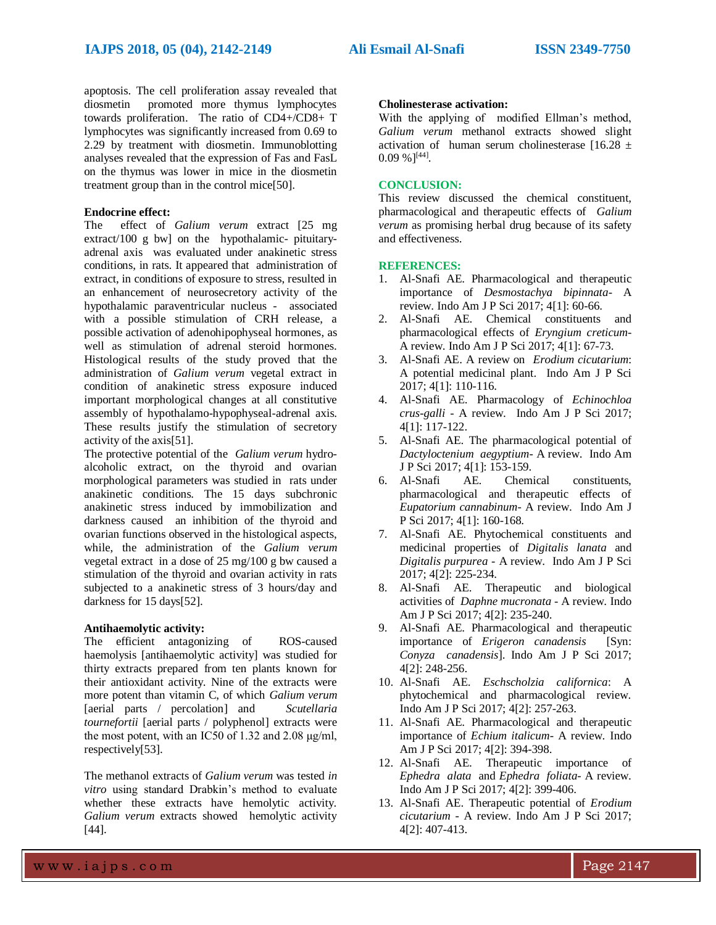apoptosis. The cell proliferation assay revealed that diosmetin promoted more thymus lymphocytes towards proliferation. The ratio of CD4+/CD8+ T lymphocytes was significantly increased from 0.69 to 2.29 by treatment with diosmetin. Immunoblotting analyses revealed that the expression of Fas and FasL on the thymus was lower in mice in the diosmetin treatment group than in the control mice[50].

#### **Endocrine effect:**

The effect of *Galium verum* extract [25 mg extract/100 g bw] on the hypothalamic- pituitaryadrenal axis was evaluated under anakinetic stress conditions, in rats. It appeared that administration of extract, in conditions of exposure to stress, resulted in an enhancement of neurosecretory activity of the hypothalamic paraventricular nucleus - associated with a possible stimulation of CRH release, a possible activation of adenohipophyseal hormones, as well as stimulation of adrenal steroid hormones. Histological results of the study proved that the administration of *Galium verum* vegetal extract in condition of anakinetic stress exposure induced important morphological changes at all constitutive assembly of hypothalamo-hypophyseal-adrenal axis. These results justify the stimulation of secretory activity of the axis[51].

The protective potential of the *Galium verum* hydroalcoholic extract, on the thyroid and ovarian morphological parameters was studied in rats under anakinetic conditions. The 15 days subchronic anakinetic stress induced by immobilization and darkness caused an inhibition of the thyroid and ovarian functions observed in the histological aspects, while, the administration of the *Galium verum*  vegetal extract in a dose of 25 mg/100 g bw caused a stimulation of the thyroid and ovarian activity in rats subjected to a anakinetic stress of 3 hours/day and darkness for 15 days[52].

#### **Antihaemolytic activity:**

The efficient antagonizing of ROS-caused haemolysis [antihaemolytic activity] was studied for thirty extracts prepared from ten plants known for their antioxidant activity. Nine of the extracts were more potent than vitamin C, of which *Galium verum*  [aerial parts / percolation] and *Scutellaria tournefortii* [aerial parts / polyphenol] extracts were the most potent, with an IC50 of 1.32 and 2.08 μg/ml, respectively[53].

The methanol extracts of *Galium verum* was tested *in vitro* using standard Drabkin's method to evaluate whether these extracts have hemolytic activity. *Galium verum* extracts showed hemolytic activity [44].

#### **Cholinesterase activation:**

With the applying of modified Ellman's method, *Galium verum* methanol extracts showed slight activation of human serum cholinesterase  $[16.28 \pm 16.28]$  $0.09\%$ <sup>[44]</sup>.

#### **CONCLUSION:**

This review discussed the chemical constituent, pharmacological and therapeutic effects of *Galium verum* as promising herbal drug because of its safety and effectiveness.

#### **REFERENCES:**

- 1. Al-Snafi AE. Pharmacological and therapeutic importance of *Desmostachya bipinnata*- A review. Indo Am J P Sci 2017; 4[1]: 60-66.
- 2. Al-Snafi AE. Chemical constituents and pharmacological effects of *Eryngium creticum*-A review. Indo Am J P Sci 2017; 4[1]: 67-73.
- 3. Al-Snafi AE. A review on *Erodium cicutarium*: A potential medicinal plant. Indo Am J P Sci 2017; 4[1]: 110-116.
- 4. Al-Snafi AE. Pharmacology of *Echinochloa crus-galli* - A review. Indo Am J P Sci 2017; 4[1]: 117-122.
- 5. Al-Snafi AE. The pharmacological potential of *Dactyloctenium aegyptium*- A review. Indo Am J P Sci 2017; 4[1]: 153-159.
- 6. Al-Snafi AE. Chemical constituents, pharmacological and therapeutic effects of *Eupatorium cannabinum*- A review. Indo Am J P Sci 2017; 4[1]: 160-168.
- 7. Al-Snafi AE. Phytochemical constituents and medicinal properties of *Digitalis lanata* and *Digitalis purpurea* - A review. Indo Am J P Sci 2017; 4[2]: 225-234.
- 8. Al-Snafi AE. Therapeutic and biological activities of *Daphne mucronata* - A review. Indo Am J P Sci 2017; 4[2]: 235-240.
- 9. Al-Snafi AE. Pharmacological and therapeutic importance of *Erigeron canadensis* [Syn: *Conyza canadensis*]. Indo Am J P Sci 2017; 4[2]: 248-256.
- 10. Al-Snafi AE. *Eschscholzia californica*: A phytochemical and pharmacological review. Indo Am J P Sci 2017; 4[2]: 257-263.
- 11. Al-Snafi AE. Pharmacological and therapeutic importance of *Echium italicum*- A review. Indo Am J P Sci 2017; 4[2]: 394-398.
- 12. Al-Snafi AE. Therapeutic importance of *Ephedra alata* and *Ephedra foliata*- A review. Indo Am J P Sci 2017; 4[2]: 399-406.
- 13. Al-Snafi AE. Therapeutic potential of *Erodium cicutarium* - A review. Indo Am J P Sci 2017; 4[2]: 407-413.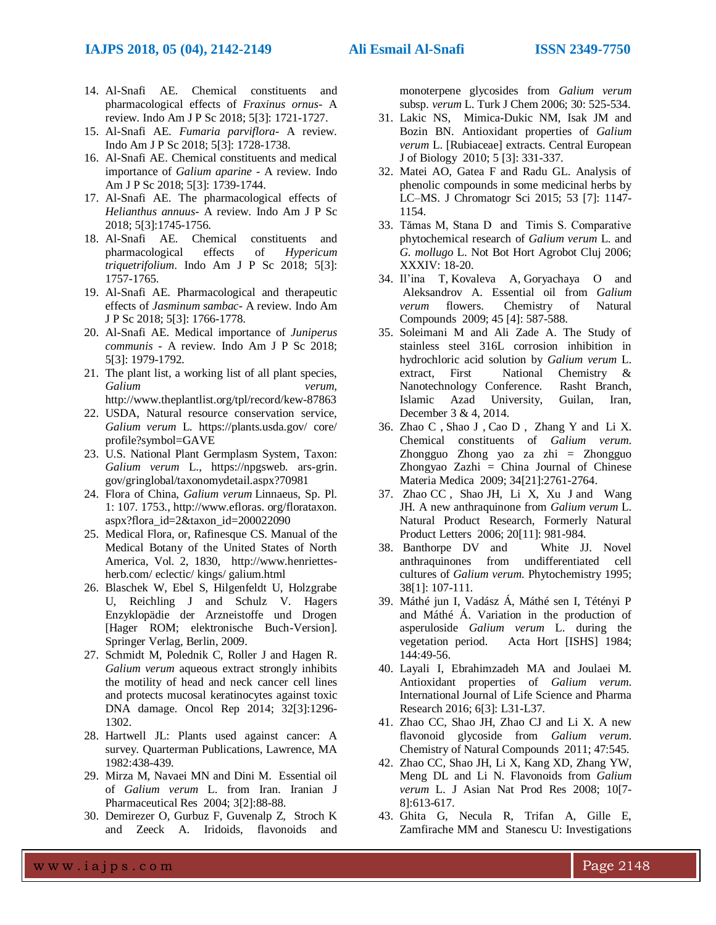#### **IAJPS 2018, 05 (04), 2142-2149 Ali Esmail Al-Snafi ISSN 2349-7750**

- 14. Al-Snafi AE. Chemical constituents and pharmacological effects of *Fraxinus ornus*- A review. Indo Am J P Sc 2018; 5[3]: 1721-1727.
- 15. Al-Snafi AE. *Fumaria parviflora* A review. Indo Am J P Sc 2018; 5[3]: 1728-1738.
- 16. Al-Snafi AE. Chemical constituents and medical importance of *Galium aparine* - A review. Indo Am J P Sc 2018; 5[3]: 1739-1744.
- 17. Al-Snafi AE. The pharmacological effects of *Helianthus annuus*- A review. Indo Am J P Sc 2018; 5[3]:1745-1756.
- 18. Al-Snafi AE. Chemical constituents and pharmacological effects of *Hypericum triquetrifolium*. Indo Am J P Sc 2018; 5[3]: 1757-1765.
- 19. Al-Snafi AE. Pharmacological and therapeutic effects of *Jasminum sambac*- A review. Indo Am J P Sc 2018; 5[3]: 1766-1778.
- 20. Al-Snafi AE. Medical importance of *Juniperus communis* - A review. Indo Am J P Sc 2018; 5[3]: 1979-1792.
- 21. The plant list, a working list of all plant species, *Galium verum,*  <http://www.theplantlist.org/tpl/record/kew-87863>
- 22. USDA, Natural resource conservation service, *Galium verum* L*.* https://plants.usda.gov/ core/ profile?symbol=GAVE
- 23. [U.S. National Plant Germplasm System,](https://npgsweb.ars-grin.gov/gringlobal/popuphelp.aspx?id=8) [Taxon:](https://npgsweb.ars-grin.gov/gringlobal/taxon/abouttaxonomy.aspx?chapter=scient) *Galium verum* L., https://npgsweb. ars-grin. gov/gringlobal/taxonomydetail.aspx?70981
- 24. Flora of China, *Galium verum* Linnaeus, Sp. Pl. 1: 107. 1753., http://www.efloras. org/florataxon. aspx?flora\_id=2&taxon\_id=200022090
- 25. [Medical Flora, or, Rafinesque CS. Manual of the](file:///C:/Users/المستقبل/Desktop/DR.ALI%201%20AFTER/Medical%20Flora,%20or,%20Rafinesque%20CS.%20Manual%20of%20the%20Medical%20Botany%20of%20the%20United%20States%20of%20North%20America,%20Vol.%202,%201830,)  [Medical Botany of the United States of North](file:///C:/Users/المستقبل/Desktop/DR.ALI%201%20AFTER/Medical%20Flora,%20or,%20Rafinesque%20CS.%20Manual%20of%20the%20Medical%20Botany%20of%20the%20United%20States%20of%20North%20America,%20Vol.%202,%201830,)  [America, Vol. 2, 1830,](file:///C:/Users/المستقبل/Desktop/DR.ALI%201%20AFTER/Medical%20Flora,%20or,%20Rafinesque%20CS.%20Manual%20of%20the%20Medical%20Botany%20of%20the%20United%20States%20of%20North%20America,%20Vol.%202,%201830,) [http://www.henriettes](http://www.henriettes-herb.com/)[herb.com/](http://www.henriettes-herb.com/) eclectic/ kings/ galium.html
- 26. Blaschek W, Ebel S, Hilgenfeldt U, Holzgrabe U, Reichling J and Schulz V. Hagers Enzyklopädie der Arzneistoffe und Drogen [Hager ROM; elektronische Buch-Version]. Springer Verlag, Berlin, 2009.
- 27. [Schmidt M,](https://www.ncbi.nlm.nih.gov/pubmed/?term=Schmidt%20M%5BAuthor%5D&cauthor=true&cauthor_uid=25017936) [Polednik C,](https://www.ncbi.nlm.nih.gov/pubmed/?term=Polednik%20C%5BAuthor%5D&cauthor=true&cauthor_uid=25017936) [Roller J](https://www.ncbi.nlm.nih.gov/pubmed/?term=Roller%20J%5BAuthor%5D&cauthor=true&cauthor_uid=25017936) and [Hagen R.](https://www.ncbi.nlm.nih.gov/pubmed/?term=Hagen%20R%5BAuthor%5D&cauthor=true&cauthor_uid=25017936) *Galium verum* aqueous extract strongly inhibits the motility of head and neck cancer cell lines and protects mucosal keratinocytes against toxic DNA damage. [Oncol Rep](https://www.ncbi.nlm.nih.gov/pubmed/25017936) 2014; 32[3]:1296- 1302.
- 28. Hartwell JL: Plants used against cancer: A survey. Quarterman Publications, Lawrence, MA 1982:438-439.
- 29. Mirza M, Navaei MN and Dini M. Essential oil of *Galium verum* L. from Iran. Iranian J Pharmaceutical Res 2004; 3[2]:88-88.
- 30. Demirezer O, Gurbuz F, Guvenalp Z, Stroch K and Zeeck A. Iridoids, flavonoids and

monoterpene glycosides from *Galium verum*  subsp. *verum* L. Turk J Chem 2006; 30: 525-534.

- 31. Lakic NS, Mimica-Dukic NM, Isak JM and Bozin BN. Antioxidant properties of *Galium verum* L. [Rubiaceae] extracts. Central European J of Biology 2010; 5 [3]: 331-337.
- 32. Matei AO, Gatea F and Radu GL. Analysis of phenolic compounds in some medicinal herbs by LC–MS. J Chromatogr Sci 2015; 53 [7]: 1147- 1154.
- 33. Tămas M, Stana D and Timis S. Comparative phytochemical research of *Galium verum* L. and *G. mollugo* L. Not Bot Hort Agrobot Cluj 2006; XXXIV: 18-20.
- 34. [Il'ina T,](https://www.deepdyve.com/search?author=Il%E2%80%99ina%2C+T.) [Kovaleva A,](https://www.deepdyve.com/search?author=Kovaleva%2C++A.) [Goryachaya O and](https://www.deepdyve.com/search?author=Goryachaya%2C++O.)  [Aleksandrov A.](https://www.deepdyve.com/search?author=Aleksandrov%2C++A.) [Essential oil from](https://www.deepdyve.com/lp/springer-journals/essential-oil-from-galium-verum-flowers-Dof0aalBb8) *Galium verum* [flowers.](https://www.deepdyve.com/lp/springer-journals/essential-oil-from-galium-verum-flowers-Dof0aalBb8) [Chemistry of Natural](https://www.deepdyve.com/browse/journals/chemistry-of-natural-compounds)  [Compounds](https://www.deepdyve.com/browse/journals/chemistry-of-natural-compounds) 2009; 45 [4]: 587-588.
- 35. Soleimani M and Ali Zade A. The Study of stainless steel 316L corrosion inhibition in hydrochloric acid solution by *Galium verum* L. extract, First National Chemistry & Nanotechnology Conference. Rasht Branch, Islamic Azad University, Guilan, Iran, December 3 & 4, 2014.
- 36. [Zhao C ,](file:///C:/Users/ali/Desktop/search;jsessionid=9BF142BB631347AF52B14AD2EB624148) [Shao J ,](file:///C:/Users/ali/Desktop/search;jsessionid=9BF142BB631347AF52B14AD2EB624148) [Cao D ,](file:///C:/Users/ali/Desktop/search;jsessionid=9BF142BB631347AF52B14AD2EB624148) [Zhang Y a](file:///C:/Users/ali/Desktop/search;jsessionid=9BF142BB631347AF52B14AD2EB624148)nd [Li X.](file:///C:/Users/ali/Desktop/search;jsessionid=9BF142BB631347AF52B14AD2EB624148)  Chemical constituents of *Galium verum*. [Zhongguo Zhong yao za zhi = Zhongguo](file:///C:/Users/ali/Desktop/search;jsessionid=9BF142BB631347AF52B14AD2EB624148)  [Zhongyao Zazhi = China Journal of Chinese](file:///C:/Users/ali/Desktop/search;jsessionid=9BF142BB631347AF52B14AD2EB624148)  [Materia Medica](file:///C:/Users/ali/Desktop/search;jsessionid=9BF142BB631347AF52B14AD2EB624148) 2009; 34[21]:2761-2764.
- 37. [Zhao CC ,](http://www.tandfonline.com/author/Zhao%2C+Chun-Chao) [Shao](http://www.tandfonline.com/author/Shao%2C+Jian-Hua) JH, [Li](http://www.tandfonline.com/author/Li%2C+Xian) X, [Xu](http://www.tandfonline.com/author/Xu%2C+Jing) J and [Wang](http://www.tandfonline.com/author/Wang%2C+Jin-Hui)  JH. A new anthraquinone from *Galium verum* L. [Natural Product Research, F](http://www.tandfonline.com/toc/gnpl20/current)ormerly Natural Product Letters 2006; 20[11]: 981-984.
- 38. [Banthorpe](http://www.sciencedirect.com/science/article/pii/003194229400579I) DV and [White](http://www.sciencedirect.com/science/article/pii/003194229400579I) JJ. Novel anthraquinones from undifferentiated cell cultures of *Galium verum*. [Phytochemistry](http://www.sciencedirect.com/science/journal/00319422) 1995; 38[1]: 107-111.
- 39. Máthé jun I, Vadász Á, Máthé sen I, Tétényi P and Máthé Á. Variation in the production of asperuloside *Galium verum* L. during the vegetation period. Acta Hort [ISHS] 1984; 144:49-56.
- 40. Layali I, Ebrahimzadeh MA and Joulaei M. Antioxidant properties of *Galium verum*. International Journal of Life Science and Pharma Research 2016; 6[3]: L31-L37.
- 41. Zhao CC, Shao JH, Zhao CJ and Li X. A new flavonoid glycoside from *Galium verum*. [Chemistry of Natural Compounds](http://link.springer.com/journal/10600) 2011; 47:545.
- 42. [Zhao CC,](https://www.ncbi.nlm.nih.gov/pubmed/?term=Zhao%20CC%5BAuthor%5D&cauthor=true&cauthor_uid=18636371) [Shao JH,](https://www.ncbi.nlm.nih.gov/pubmed/?term=Shao%20JH%5BAuthor%5D&cauthor=true&cauthor_uid=18636371) [Li X,](https://www.ncbi.nlm.nih.gov/pubmed/?term=Li%20X%5BAuthor%5D&cauthor=true&cauthor_uid=18636371) [Kang XD,](https://www.ncbi.nlm.nih.gov/pubmed/?term=Kang%20XD%5BAuthor%5D&cauthor=true&cauthor_uid=18636371) [Zhang YW,](https://www.ncbi.nlm.nih.gov/pubmed/?term=Zhang%20YW%5BAuthor%5D&cauthor=true&cauthor_uid=18636371) [Meng DL](https://www.ncbi.nlm.nih.gov/pubmed/?term=Meng%20DL%5BAuthor%5D&cauthor=true&cauthor_uid=18636371) and [Li N.](https://www.ncbi.nlm.nih.gov/pubmed/?term=Li%20N%5BAuthor%5D&cauthor=true&cauthor_uid=18636371) Flavonoids from *Galium verum* L. [J Asian Nat Prod Res](https://www.ncbi.nlm.nih.gov/pubmed/18636371) 2008; 10[7- 8]:613-617.
- 43. Ghita G, Necula R, Trifan A, Gille E, Zamfirache MM and Stanescu U: Investigations